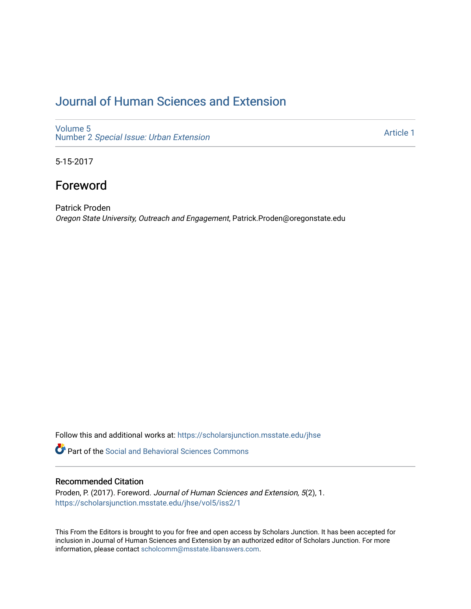## [Journal of Human Sciences and Extension](https://scholarsjunction.msstate.edu/jhse)

[Volume 5](https://scholarsjunction.msstate.edu/jhse/vol5) Number 2 [Special Issue: Urban Extension](https://scholarsjunction.msstate.edu/jhse/vol5/iss2) 

[Article 1](https://scholarsjunction.msstate.edu/jhse/vol5/iss2/1) 

5-15-2017

## Foreword

Patrick Proden Oregon State University, Outreach and Engagement, Patrick.Proden@oregonstate.edu

Follow this and additional works at: [https://scholarsjunction.msstate.edu/jhse](https://scholarsjunction.msstate.edu/jhse?utm_source=scholarsjunction.msstate.edu%2Fjhse%2Fvol5%2Fiss2%2F1&utm_medium=PDF&utm_campaign=PDFCoverPages)

**C** Part of the Social and Behavioral Sciences Commons

## Recommended Citation

Proden, P. (2017). Foreword. Journal of Human Sciences and Extension, 5(2), 1. [https://scholarsjunction.msstate.edu/jhse/vol5/iss2/1](https://scholarsjunction.msstate.edu/jhse/vol5/iss2/1?utm_source=scholarsjunction.msstate.edu%2Fjhse%2Fvol5%2Fiss2%2F1&utm_medium=PDF&utm_campaign=PDFCoverPages)

This From the Editors is brought to you for free and open access by Scholars Junction. It has been accepted for inclusion in Journal of Human Sciences and Extension by an authorized editor of Scholars Junction. For more information, please contact [scholcomm@msstate.libanswers.com](mailto:scholcomm@msstate.libanswers.com).